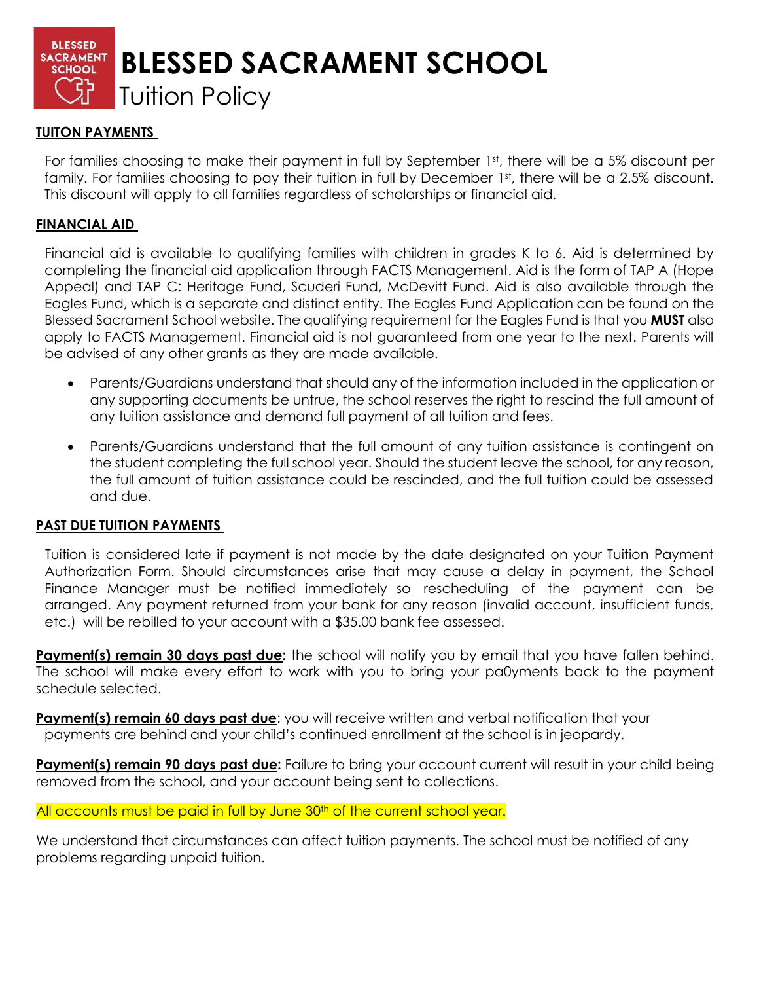

# **TUITON PAYMENTS**

For families choosing to make their payment in full by September 1st, there will be a 5% discount per family. For families choosing to pay their tuition in full by December 1st, there will be a 2.5% discount. This discount will apply to all families regardless of scholarships or financial aid.

### **FINANCIAL AID**

Financial aid is available to qualifying families with children in grades K to 6. Aid is determined by completing the financial aid application through FACTS Management. Aid is the form of TAP A (Hope Appeal) and TAP C: Heritage Fund, Scuderi Fund, McDevitt Fund. Aid is also available through the Eagles Fund, which is a separate and distinct entity. The Eagles Fund Application can be found on the Blessed Sacrament School website. The qualifying requirement for the Eagles Fund is that you **MUST** also apply to FACTS Management. Financial aid is not guaranteed from one year to the next. Parents will be advised of any other grants as they are made available.

- Parents/Guardians understand that should any of the information included in the application or any supporting documents be untrue, the school reserves the right to rescind the full amount of any tuition assistance and demand full payment of all tuition and fees.
- Parents/Guardians understand that the full amount of any tuition assistance is contingent on the student completing the full school year. Should the student leave the school, for any reason, the full amount of tuition assistance could be rescinded, and the full tuition could be assessed and due.

#### **PAST DUE TUITION PAYMENTS**

Tuition is considered late if payment is not made by the date designated on your Tuition Payment Authorization Form. Should circumstances arise that may cause a delay in payment, the School Finance Manager must be notified immediately so rescheduling of the payment can be arranged. Any payment returned from your bank for any reason (invalid account, insufficient funds, etc.) will be rebilled to your account with a \$35.00 bank fee assessed.

**Payment(s) remain 30 days past due:** the school will notify you by email that you have fallen behind. The school will make every effort to work with you to bring your pa0yments back to the payment schedule selected.

**Payment(s) remain 60 days past due**: you will receive written and verbal notification that your payments are behind and your child's continued enrollment at the school is in jeopardy.

**Payment(s) remain 90 days past due:** Failure to bring your account current will result in your child being removed from the school, and your account being sent to collections.

All accounts must be paid in full by June 30<sup>th</sup> of the current school year.

We understand that circumstances can affect tuition payments. The school must be notified of any problems regarding unpaid tuition.